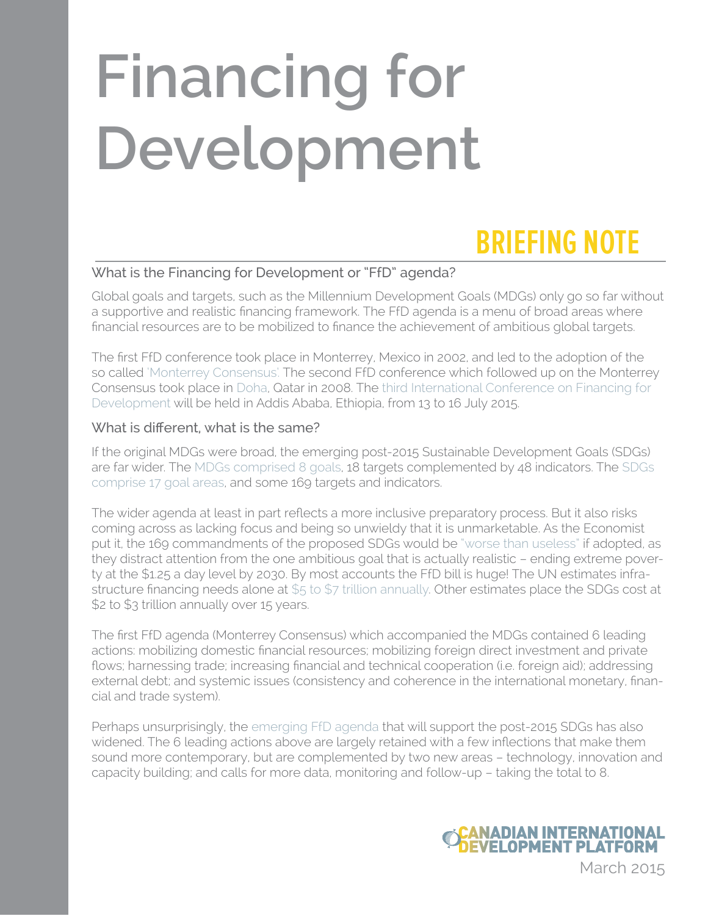# **Financing for Development**

# **BRIEFING NOTE**

## What is the Financing for Development or "FfD" agenda?

Global goals and targets, such as the Millennium Development Goals (MDGs) only go so far without a supportive and realistic financing framework. The FfD agenda is a menu of broad areas where financial resources are to be mobilized to finance the achievement of ambitious global targets.

The first FfD conference took place in Monterrey, Mexico in 2002, and led to the adoption of the so called ['Monterrey Consensus'.](http://www.un.org/esa/ffd/wp-content/uploads/2014/09/MonterreyConsensus.pdf) The second FfD conference which followed up on the Monterrey Consensus took place in [Doha](http://www.un.org/esa/ffd/doha/), Qatar in 2008. The [third International Conference on Financing for](http://www.un.org/esa/ffd/overview/third-conference-ffd.html)  [Development](http://www.un.org/esa/ffd/overview/third-conference-ffd.html) will be held in Addis Ababa, Ethiopia, from 13 to 16 July 2015.

### What is different, what is the same?

If the original MDGs were broad, the emerging post-2015 Sustainable Development Goals (SDGs) are far wider. The [MDGs comprised 8 goals](http://mdgs.un.org/unsd/mdg/Host.aspx?Content=indicators/officiallist.htm), 18 targets complemented by 48 indicators. The [SDGs](https://sustainabledevelopment.un.org/index.php?page=view&type=400&nr=1579&menu=35)  [comprise 17 goal areas](https://sustainabledevelopment.un.org/index.php?page=view&type=400&nr=1579&menu=35), and some 169 targets and indicators.

The wider agenda at least in part reflects a more inclusive preparatory process. But it also risks coming across as lacking focus and being so unwieldy that it is unmarketable. As the Economist put it, the 169 commandments of the proposed SDGs would be ["worse than useless"](http://www.economist.com/news/leaders/21647286-proposed-sustainable-development-goals-would-be-worse-useless-169-commandments) if adopted, as they distract attention from the one ambitious goal that is actually realistic – ending extreme poverty at the \$1.25 a day level by 2030. By most accounts the FfD bill is huge! The UN estimates infrastructure financing needs alone at [\\$5 to \\$7 trillion annually.](http://www.un.org/esa/ffd/special/ffd-regional-consultation-geneva.html) Other estimates place the SDGs cost at \$2 to \$3 trillion annually over 15 years.

The first FfD agenda (Monterrey Consensus) which accompanied the MDGs contained 6 leading actions: mobilizing domestic financial resources; mobilizing foreign direct investment and private flows; harnessing trade; increasing financial and technical cooperation (i.e. foreign aid); addressing external debt; and systemic issues (consistency and coherence in the international monetary, financial and trade system).

Perhaps unsurprisingly, the [emerging FfD agenda](http://www.un.org/esa/ffd/wp-content/uploads/2015/03/1ds-zero-draft-outcome.pdf) that will support the post-2015 SDGs has also widened. The 6 leading actions above are largely retained with a few inflections that make them sound more contemporary, but are complemented by two new areas – technology, innovation and capacity building; and calls for more data, monitoring and follow-up – taking the total to 8.



March 2015